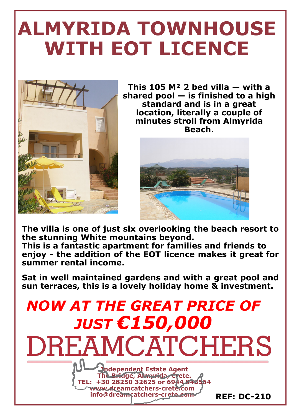## **ALMYRIDA TOWNHOUSE WITH EOT LICENCE**



**This 105 M² 2 bed villa — with a shared pool — is finished to a high standard and is in a great location, literally a couple of minutes stroll from Almyrida Beach.**



**The villa is one of just six overlooking the beach resort to the stunning White mountains beyond. This is a fantastic apartment for families and friends to enjoy - the addition of the EOT licence makes it great for summer rental income.**

**Sat in well maintained gardens and with a great pool and sun terraces, this is a lovely holiday home & investment.**

### *NOW AT THE GREAT PRICE OF JUST €150,000*

**DREAMCATCHERS** 



 **REF: DC-210**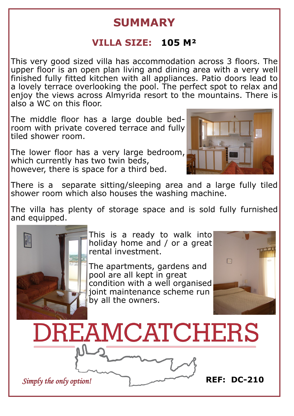#### **SUMMARY**

#### **VILLA SIZE: 105 M²**

This very good sized villa has accommodation across 3 floors. The upper floor is an open plan living and dining area with a very well finished fully fitted kitchen with all appliances. Patio doors lead to a lovely terrace overlooking the pool. The perfect spot to relax and enjoy the views across Almyrida resort to the mountains. There is also a WC on this floor.

The middle floor has a large double bedroom with private covered terrace and fully tiled shower room.

The lower floor has a very large bedroom, which currently has two twin beds, however, there is space for a third bed.



There is a separate sitting/sleeping area and a large fully tiled shower room which also houses the washing machine.

The villa has plenty of storage space and is sold fully furnished and equipped.



This is a ready to walk into holiday home and / or a great rental investment.

The apartments, gardens and pool are all kept in great condition with a well organised joint maintenance scheme run by all the owners.



**DREAMCATCHERS** 

*Simply the only option!* **REF: DC-210**